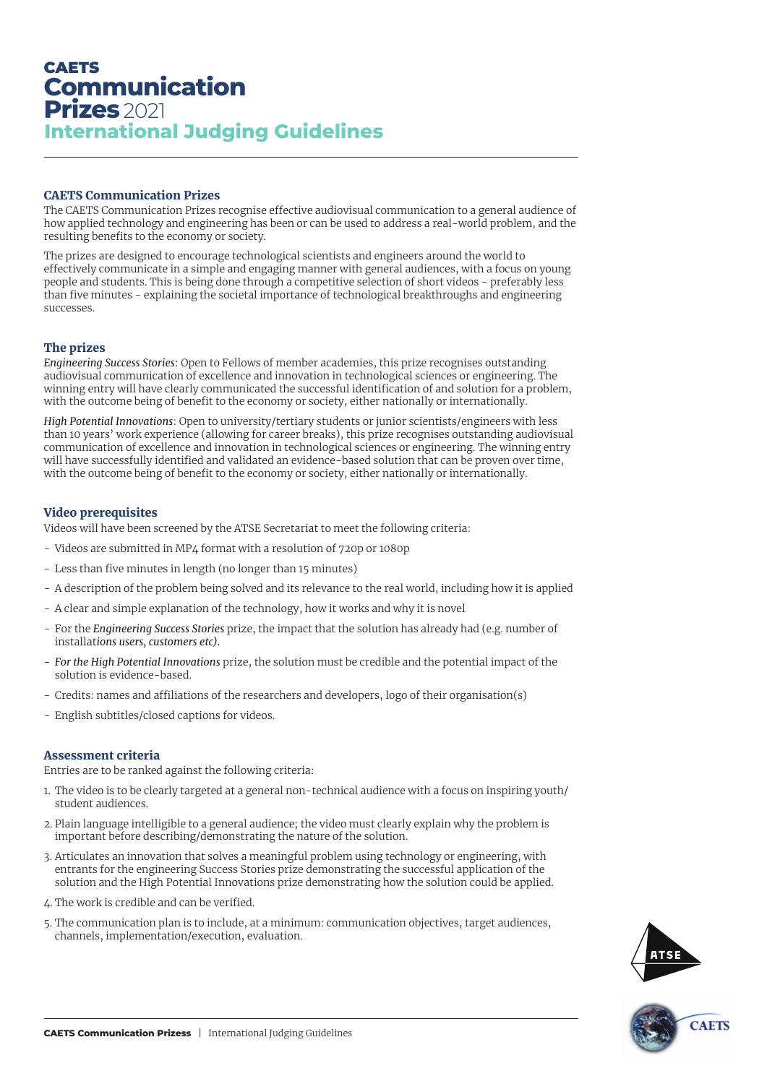# **CAETS Communication Prizes** 2021 **International Judging Guidelines**

## CAETS Communication Prizes

The CAETS Communication Prizes recognise effective audiovisual communication to a general audience of how applied technology and engineering has been or can be used to address a real-world problem, and the resulting benefits to the economy or society.

The prizes are designed to encourage technological scientists and engineers around the world to effectively communicate in a simple and engaging manner with general audiences, with a focus on young people and students. This is being done through a competitive selection of short videos - preferably less than five minutes - explaining the societal importance of technological breakthroughs and engineering successes.

# The prizes

*Engineering Success Stories*: Open to Fellows of member academies, this prize recognises outstanding audiovisual communication of excellence and innovation in technological sciences or engineering. The winning entry will have clearly communicated the successful identification of and solution for a problem, with the outcome being of benefit to the economy or society, either nationally or internationally.

*High Potential Innovations*: Open to university/tertiary students or junior scientists/engineers with less than 10 years' work experience (allowing for career breaks), this prize recognises outstanding audiovisual communication of excellence and innovation in technological sciences or engineering. The winning entry will have successfully identified and validated an evidence-based solution that can be proven over time, with the outcome being of benefit to the economy or society, either nationally or internationally.

## Video prerequisites

Videos will have been screened by the ATSE Secretariat to meet the following criteria:

- Videos are submitted in MP4 format with a resolution of 720p or 1080p
- Less than five minutes in length (no longer than 15 minutes)
- A description of the problem being solved and its relevance to the real world, including how it is applied
- A clear and simple explanation of the technology, how it works and why it is novel
- For the *Engineering Success Stories* prize, the impact that the solution has already had (e.g. number of installat*ions users, customers etc).*
- *- For the High Potential Innovations* prize, the solution must be credible and the potential impact of the solution is evidence-based.
- Credits: names and affiliations of the researchers and developers, logo of their organisation(s)
- English subtitles/closed captions for videos.

## Assessment criteria

Entries are to be ranked against the following criteria:

- 1. The video is to be clearly targeted at a general non-technical audience with a focus on inspiring youth/ student audiences.
- 2. Plain language intelligible to a general audience; the video must clearly explain why the problem is important before describing/demonstrating the nature of the solution.
- 3. Articulates an innovation that solves a meaningful problem using technology or engineering, with entrants for the engineering Success Stories prize demonstrating the successful application of the solution and the High Potential Innovations prize demonstrating how the solution could be applied.
- 4. The work is credible and can be verified.
- 5. The communication plan is to include, at a minimum: communication objectives, target audiences, channels, implementation/execution, evaluation.



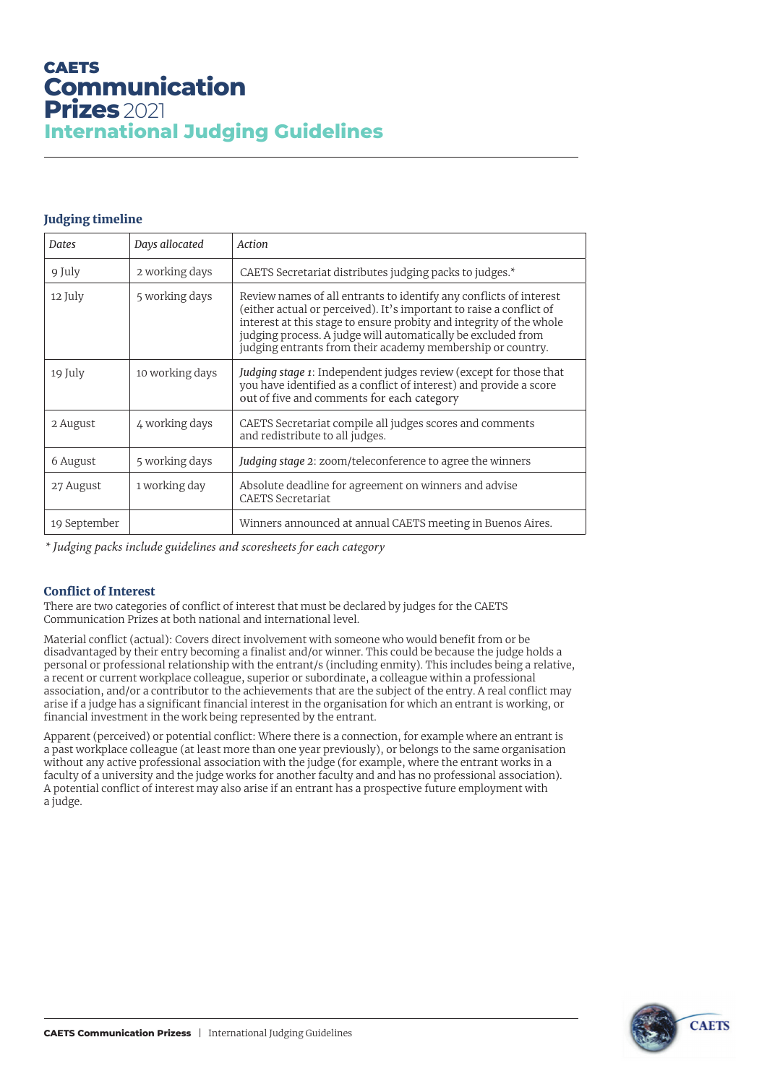# **CAETS Communication Prizes** 2021 **International Judging Guidelines**

# Judging timeline

| Dates        | Days allocated  | Action                                                                                                                                                                                                                                                                                                                                         |
|--------------|-----------------|------------------------------------------------------------------------------------------------------------------------------------------------------------------------------------------------------------------------------------------------------------------------------------------------------------------------------------------------|
| 9 July       | 2 working days  | CAETS Secretariat distributes judging packs to judges.*                                                                                                                                                                                                                                                                                        |
| 12 July      | 5 working days  | Review names of all entrants to identify any conflicts of interest<br>(either actual or perceived). It's important to raise a conflict of<br>interest at this stage to ensure probity and integrity of the whole<br>judging process. A judge will automatically be excluded from<br>judging entrants from their academy membership or country. |
| 19 July      | 10 working days | Judging stage 1: Independent judges review (except for those that<br>you have identified as a conflict of interest) and provide a score<br>out of five and comments for each category                                                                                                                                                          |
| 2 August     | 4 working days  | CAETS Secretariat compile all judges scores and comments<br>and redistribute to all judges.                                                                                                                                                                                                                                                    |
| 6 August     | 5 working days  | Judging stage 2: zoom/teleconference to agree the winners                                                                                                                                                                                                                                                                                      |
| 27 August    | 1 working day   | Absolute deadline for agreement on winners and advise<br><b>CAETS Secretariat</b>                                                                                                                                                                                                                                                              |
| 19 September |                 | Winners announced at annual CAETS meeting in Buenos Aires.                                                                                                                                                                                                                                                                                     |

*\* Judging packs include guidelines and scoresheets for each category*

# Conflict of Interest

There are two categories of conflict of interest that must be declared by judges for the CAETS Communication Prizes at both national and international level.

Material conflict (actual): Covers direct involvement with someone who would benefit from or be disadvantaged by their entry becoming a finalist and/or winner. This could be because the judge holds a personal or professional relationship with the entrant/s (including enmity). This includes being a relative, a recent or current workplace colleague, superior or subordinate, a colleague within a professional association, and/or a contributor to the achievements that are the subject of the entry. A real conflict may arise if a judge has a significant financial interest in the organisation for which an entrant is working, or financial investment in the work being represented by the entrant.

Apparent (perceived) or potential conflict: Where there is a connection, for example where an entrant is a past workplace colleague (at least more than one year previously), or belongs to the same organisation without any active professional association with the judge (for example, where the entrant works in a faculty of a university and the judge works for another faculty and and has no professional association). A potential conflict of interest may also arise if an entrant has a prospective future employment with a judge.